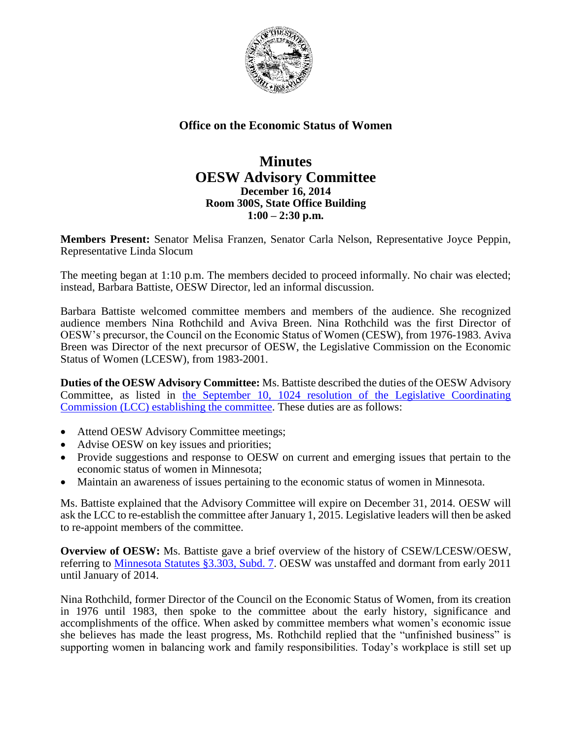

## **Office on the Economic Status of Women**

## **Minutes OESW Advisory Committee December 16, 2014 Room 300S, State Office Building 1:00 – 2:30 p.m.**

**Members Present:** Senator Melisa Franzen, Senator Carla Nelson, Representative Joyce Peppin, Representative Linda Slocum

The meeting began at 1:10 p.m. The members decided to proceed informally. No chair was elected; instead, Barbara Battiste, OESW Director, led an informal discussion.

Barbara Battiste welcomed committee members and members of the audience. She recognized audience members Nina Rothchild and Aviva Breen. Nina Rothchild was the first Director of OESW's precursor, the Council on the Economic Status of Women (CESW), from 1976-1983. Aviva Breen was Director of the next precursor of OESW, the Legislative Commission on the Economic Status of Women (LCESW), from 1983-2001.

**Duties of the OESW Advisory Committee:** Ms. Battiste described the duties of the OESW Advisory Committee, as listed in [the September 10, 1024 resolution of the Legislative Coordinating](http://www.oesw.leg.mn/hearings/09_10_14LCCResolution.pdf)  [Commission \(LCC\) establishing the committee.](http://www.oesw.leg.mn/hearings/09_10_14LCCResolution.pdf) These duties are as follows:

- Attend OESW Advisory Committee meetings;
- Advise OESW on key issues and priorities;
- Provide suggestions and response to OESW on current and emerging issues that pertain to the economic status of women in Minnesota;
- Maintain an awareness of issues pertaining to the economic status of women in Minnesota.

Ms. Battiste explained that the Advisory Committee will expire on December 31, 2014. OESW will ask the LCC to re-establish the committee after January 1, 2015. Legislative leaders will then be asked to re-appoint members of the committee.

**Overview of OESW:** Ms. Battiste gave a brief overview of the history of CSEW/LCESW/OESW, referring to [Minnesota Statutes §3.303, Subd. 7.](https://www.revisor.mn.gov/statutes/?id=3.303) OESW was unstaffed and dormant from early 2011 until January of 2014.

Nina Rothchild, former Director of the Council on the Economic Status of Women, from its creation in 1976 until 1983, then spoke to the committee about the early history, significance and accomplishments of the office. When asked by committee members what women's economic issue she believes has made the least progress, Ms. Rothchild replied that the "unfinished business" is supporting women in balancing work and family responsibilities. Today's workplace is still set up